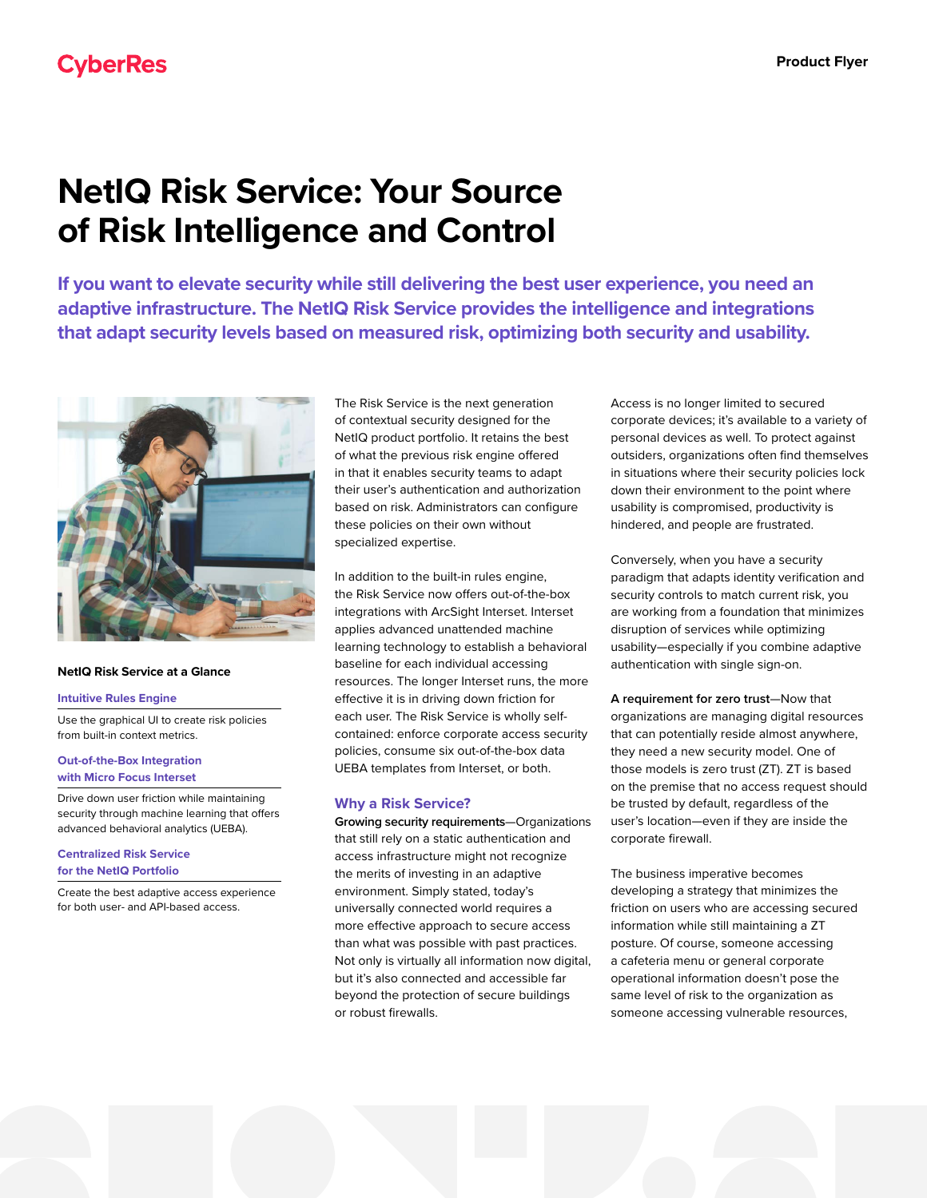# **NetIQ Risk Service: Your Source of Risk Intelligence and Control**

**If you want to elevate security while still delivering the best user experience, you need an adaptive infrastructure. The NetIQ Risk Service provides the intelligence and integrations that adapt security levels based on measured risk, optimizing both security and usability.**



#### **NetIQ Risk Service at a Glance**

#### **Intuitive Rules Engine**

Use the graphical UI to create risk policies from built-in context metrics.

#### **Out-of-the-Box Integration with Micro Focus Interset**

Drive down user friction while maintaining security through machine learning that offers advanced behavioral analytics (UEBA).

#### **Centralized Risk Service for the NetIQ Portfolio**

Create the best adaptive access experience for both user- and API-based access.

The Risk Service is the next generation of contextual security designed for the NetIQ product portfolio. It retains the best of what the previous risk engine offered in that it enables security teams to adapt their user's authentication and authorization based on risk. Administrators can configure these policies on their own without specialized expertise.

In addition to the built-in rules engine, the Risk Service now offers out-of-the-box integrations with ArcSight Interset. Interset applies advanced unattended machine learning technology to establish a behavioral baseline for each individual accessing resources. The longer Interset runs, the more effective it is in driving down friction for each user. The Risk Service is wholly selfcontained: enforce corporate access security policies, consume six out-of-the-box data UEBA templates from Interset, or both.

### **Why a Risk Service?**

**Growing security requirements**—Organizations that still rely on a static authentication and access infrastructure might not recognize the merits of investing in an adaptive environment. Simply stated, today's universally connected world requires a more effective approach to secure access than what was possible with past practices. Not only is virtually all information now digital, but it's also connected and accessible far beyond the protection of secure buildings or robust firewalls.

Access is no longer limited to secured corporate devices; it's available to a variety of personal devices as well. To protect against outsiders, organizations often find themselves in situations where their security policies lock down their environment to the point where usability is compromised, productivity is hindered, and people are frustrated.

Conversely, when you have a security paradigm that adapts identity verification and security controls to match current risk, you are working from a foundation that minimizes disruption of services while optimizing usability—especially if you combine adaptive authentication with single sign-on.

**A requirement for zero trust**—Now that organizations are managing digital resources that can potentially reside almost anywhere, they need a new security model. One of those models is zero trust (ZT). ZT is based on the premise that no access request should be trusted by default, regardless of the user's location—even if they are inside the corporate firewall.

The business imperative becomes developing a strategy that minimizes the friction on users who are accessing secured information while still maintaining a ZT posture. Of course, someone accessing a cafeteria menu or general corporate operational information doesn't pose the same level of risk to the organization as someone accessing vulnerable resources,